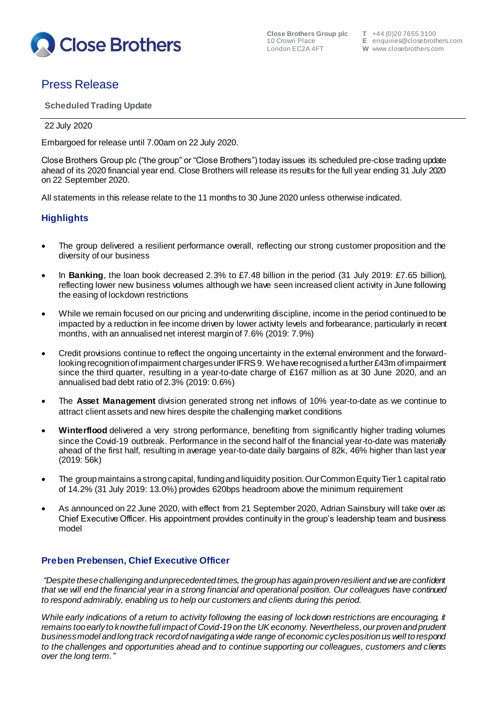

**Close Brothers Group plc**<br>**10 Crown Place** 

# Press Release

**Scheduled Trading Update**

### 22 July 2020

Embargoed for release until 7.00am on 22 July 2020.

Close Brothers Group plc ("the group" or "Close Brothers") today issues its scheduled pre-close trading update ahead of its 2020 financial year end. Close Brothers will release its results for the full year ending 31 July 2020 on 22 September 2020.

All statements in this release relate to the 11 months to 30 June 2020 unless otherwise indicated.

# **Highlights**

- The group delivered a resilient performance overall, reflecting our strong customer proposition and the diversity of our business
- In **Banking**, the loan book decreased 2.3% to £7.48 billion in the period (31 July 2019: £7.65 billion), reflecting lower new business volumes although we have seen increased client activity in June following the easing of lockdown restrictions
- While we remain focused on our pricing and underwriting discipline, income in the period continued to be impacted by a reduction in fee income driven by lower activity levels and forbearance, particularly in recent months, with an annualised net interest margin of 7.6% (2019: 7.9%)
- Credit provisions continue to reflect the ongoing uncertainty in the external environment and the forwardlooking recognition of impairment charges under IFRS 9. We have recognised a further £43m of impairment since the third quarter, resulting in a year-to-date charge of £167 million as at 30 June 2020, and an annualised bad debt ratio of 2.3% (2019: 0.6%)
- The **Asset Management** division generated strong net inflows of 10% year-to-date as we continue to attract client assets and new hires despite the challenging market conditions
- **Winterflood** delivered a very strong performance, benefiting from significantly higher trading volumes since the Covid-19 outbreak. Performance in the second half of the financial year-to-date was materially ahead of the first half, resulting in average year-to-date daily bargains of 82k, 46% higher than last year (2019: 56k)
- The group maintains a strong capital, funding and liquidity position. Our Common Equity Tier 1 capital ratio of 14.2% (31 July 2019: 13.0%) provides 620bps headroom above the minimum requirement
- As announced on 22 June 2020, with effect from 21 September 2020, Adrian Sainsbury will take over as Chief Executive Officer. His appointment provides continuity in the group's leadership team and business model

## **Preben Prebensen, Chief Executive Officer**

*"Despite these challenging and unprecedented times, the group has again proven resilient and we are confident that we will end the financial year in a strong financial and operational position. Our colleagues have continued to respond admirably, enabling us to help our customers and clients during this period.*

*While early indications of a return to activity following the easing of lockdown restrictions are encouraging, it remains too early to know the full impact of Covid-19 on the UK economy. Nevertheless, our proven and prudent business model and long track record of navigating a wide range of economic cycles position us well to respond to the challenges and opportunities ahead and to continue supporting our colleagues, customers and clients over the long term.''*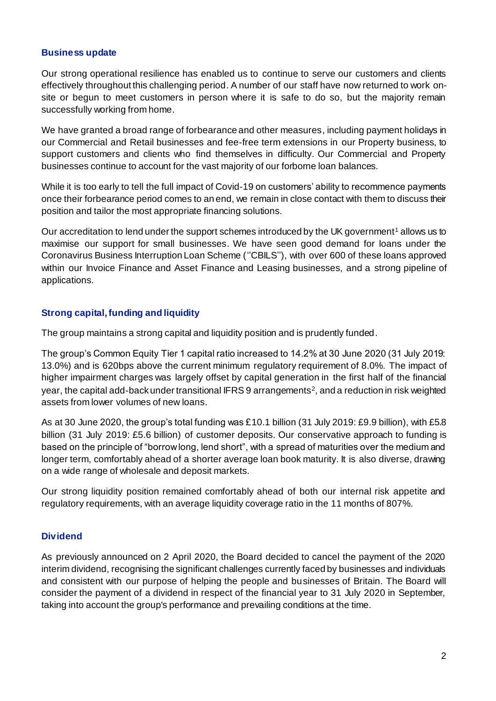#### **Business update**

Our strong operational resilience has enabled us to continue to serve our customers and clients effectively throughout this challenging period. A number of our staff have now returned to work onsite or begun to meet customers in person where it is safe to do so, but the majority remain successfully working from home.

We have granted a broad range of forbearance and other measures, including payment holidays in our Commercial and Retail businesses and fee-free term extensions in our Property business, to support customers and clients who find themselves in difficulty. Our Commercial and Property businesses continue to account for the vast majority of our forborne loan balances.

While it is too early to tell the full impact of Covid-19 on customers' ability to recommence payments once their forbearance period comes to an end, we remain in close contact with them to discuss their position and tailor the most appropriate financing solutions.

Our accreditation to lend under the support schemes introduced by the UK government<sup>1</sup> allows us to maximise our support for small businesses. We have seen good demand for loans under the Coronavirus Business Interruption Loan Scheme (''CBILS''), with over 600 of these loans approved within our Invoice Finance and Asset Finance and Leasing businesses, and a strong pipeline of applications.

#### **Strong capital, funding and liquidity**

The group maintains a strong capital and liquidity position and is prudently funded.

The group's Common Equity Tier 1 capital ratio increased to 14.2% at 30 June 2020 (31 July 2019: 13.0%) and is 620bps above the current minimum regulatory requirement of 8.0%. The impact of higher impairment charges was largely offset by capital generation in the first half of the financial year, the capital add-back under transitional IFRS 9 arrangements<sup>2</sup>, and a reduction in risk weighted assets from lower volumes of new loans.

As at 30 June 2020, the group's total funding was £10.1 billion (31 July 2019: £9.9 billion), with £5.8 billion (31 July 2019: £5.6 billion) of customer deposits. Our conservative approach to funding is based on the principle of "borrow long, lend short", with a spread of maturities over the medium and longer term, comfortably ahead of a shorter average loan book maturity. It is also diverse, drawing on a wide range of wholesale and deposit markets.

Our strong liquidity position remained comfortably ahead of both our internal risk appetite and regulatory requirements, with an average liquidity coverage ratio in the 11 months of 807%.

#### **Dividend**

As previously announced on 2 April 2020, the Board decided to cancel the payment of the 2020 interim dividend, recognising the significant challenges currently faced by businesses and individuals and consistent with our purpose of helping the people and businesses of Britain. The Board will consider the payment of a dividend in respect of the financial year to 31 July 2020 in September, taking into account the group's performance and prevailing conditions at the time.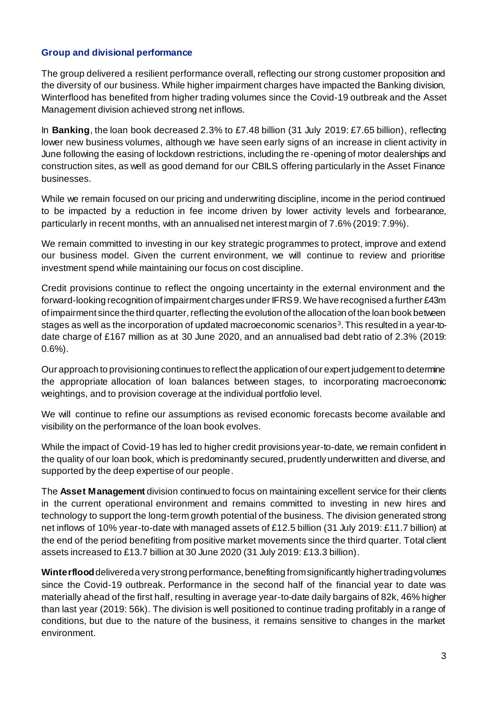#### **Group and divisional performance**

The group delivered a resilient performance overall, reflecting our strong customer proposition and the diversity of our business. While higher impairment charges have impacted the Banking division, Winterflood has benefited from higher trading volumes since the Covid-19 outbreak and the Asset Management division achieved strong net inflows.

In **Banking**, the loan book decreased 2.3% to £7.48 billion (31 July 2019: £7.65 billion), reflecting lower new business volumes, although we have seen early signs of an increase in client activity in June following the easing of lockdown restrictions, including the re-opening of motor dealerships and construction sites, as well as good demand for our CBILS offering particularly in the Asset Finance businesses.

While we remain focused on our pricing and underwriting discipline, income in the period continued to be impacted by a reduction in fee income driven by lower activity levels and forbearance, particularly in recent months, with an annualised net interest margin of 7.6% (2019: 7.9%).

We remain committed to investing in our key strategic programmes to protect, improve and extend our business model. Given the current environment, we will continue to review and prioritise investment spend while maintaining our focus on cost discipline.

Credit provisions continue to reflect the ongoing uncertainty in the external environment and the forward-looking recognition of impairment charges under IFRS 9. We have recognised a further £43m of impairment since the third quarter, reflecting the evolution of the allocation of the loan book between stages as well as the incorporation of updated macroeconomic scenarios<sup>3</sup>. This resulted in a year-todate charge of £167 million as at 30 June 2020, and an annualised bad debt ratio of 2.3% (2019: 0.6%).

Our approach to provisioning continues to reflect the application of our expert judgement to determine the appropriate allocation of loan balances between stages, to incorporating macroeconomic weightings, and to provision coverage at the individual portfolio level.

We will continue to refine our assumptions as revised economic forecasts become available and visibility on the performance of the loan book evolves.

While the impact of Covid-19 has led to higher credit provisions year-to-date, we remain confident in the quality of our loan book, which is predominantly secured, prudently underwritten and diverse, and supported by the deep expertise of our people.

The **Asset Management** division continued to focus on maintaining excellent service for their clients in the current operational environment and remains committed to investing in new hires and technology to support the long-term growth potential of the business. The division generated strong net inflows of 10% year-to-date with managed assets of £12.5 billion (31 July 2019: £11.7 billion) at the end of the period benefiting from positive market movements since the third quarter. Total client assets increased to £13.7 billion at 30 June 2020 (31 July 2019: £13.3 billion).

**Winterflood**delivered a very strong performance, benefiting fromsignificantly higher trading volumes since the Covid-19 outbreak. Performance in the second half of the financial year to date was materially ahead of the first half, resulting in average year-to-date daily bargains of 82k, 46% higher than last year (2019: 56k). The division is well positioned to continue trading profitably in a range of conditions, but due to the nature of the business, it remains sensitive to changes in the market environment.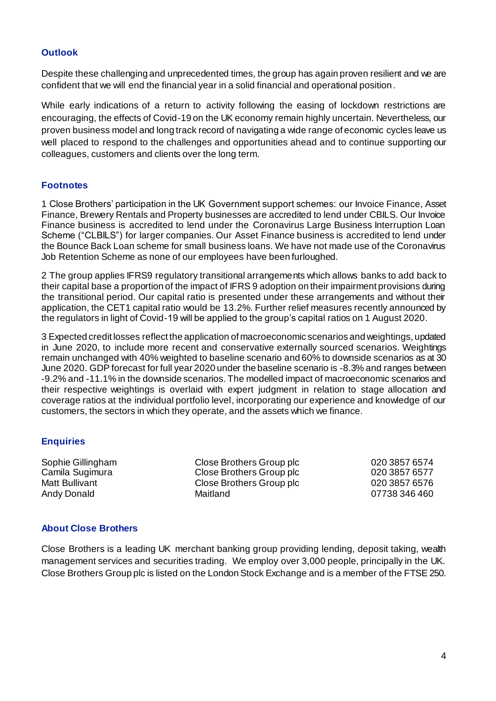#### **Outlook**

Despite these challenging and unprecedented times, the group has again proven resilient and we are confident that we will end the financial year in a solid financial and operational position.

While early indications of a return to activity following the easing of lockdown restrictions are encouraging, the effects of Covid-19 on the UK economy remain highly uncertain. Nevertheless, our proven business model and long track record of navigating a wide range of economic cycles leave us well placed to respond to the challenges and opportunities ahead and to continue supporting our colleagues, customers and clients over the long term.

#### **Footnotes**

1 Close Brothers' participation in the UK Government support schemes: our Invoice Finance, Asset Finance, Brewery Rentals and Property businesses are accredited to lend under CBILS. Our Invoice Finance business is accredited to lend under the Coronavirus Large Business Interruption Loan Scheme ("CLBILS") for larger companies. Our Asset Finance business is accredited to lend under the Bounce Back Loan scheme for small business loans. We have not made use of the Coronavirus Job Retention Scheme as none of our employees have been furloughed.

2 The group applies IFRS9 regulatory transitional arrangements which allows banks to add back to their capital base a proportion of the impact of IFRS 9 adoption on their impairment provisions during the transitional period. Our capital ratio is presented under these arrangements and without their application, the CET1 capital ratio would be 13.2%. Further relief measures recently announced by the regulators in light of Covid-19 will be applied to the group's capital ratios on 1 August 2020.

3 Expected credit losses reflect the application of macroeconomic scenarios and weightings, updated in June 2020, to include more recent and conservative externally sourced scenarios. Weightings remain unchanged with 40% weighted to baseline scenario and 60% to downside scenarios as at 30 June 2020. GDP forecast for full year 2020 under the baseline scenario is -8.3% and ranges between -9.2% and -11.1% in the downside scenarios. The modelled impact of macroeconomic scenarios and their respective weightings is overlaid with expert judgment in relation to stage allocation and coverage ratios at the individual portfolio level, incorporating our experience and knowledge of our customers, the sectors in which they operate, and the assets which we finance.

#### **Enquiries**

Sophie Gillingham Close Brothers Group plc 020 3857 6574 Camila Sugimura Close Brothers Group plc 020 3857 6577 Matt Bullivant **Close Brothers Group plc** 020 3857 6576 Andy Donald Maitland Maitland 07738 346 460

#### **About Close Brothers**

Close Brothers is a leading UK merchant banking group providing lending, deposit taking, wealth management services and securities trading. We employ over 3,000 people, principally in the UK. Close Brothers Group plc is listed on the London Stock Exchange and is a member of the FTSE 250.